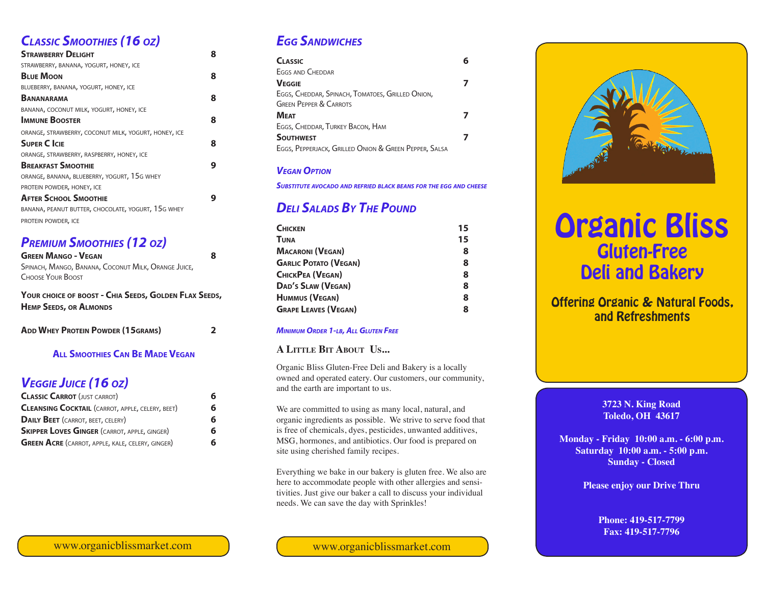## *Classic Smoothies (16 oz)*

| <b>STRAWBERRY DELIGHT</b>                            | 8 |
|------------------------------------------------------|---|
| STRAWBERRY, BANANA, YOGURT, HONEY, ICE               |   |
| <b>BLUE MOON</b>                                     | 8 |
| BLUEBERRY, BANANA, YOGURT, HONEY, ICE                |   |
| <b>BANANARAMA</b>                                    | 8 |
| BANANA, COCONUT MILK, YOGURT, HONEY, ICE             |   |
| <b>IMMUNE BOOSTER</b>                                | 8 |
| ORANGE, STRAWBERRY, COCONUT MILK, YOGURT, HONEY, ICE |   |
| <b>SUPER C ICIE</b>                                  | 8 |
| ORANGE, STRAWBERRY, RASPBERRY, HONEY, ICE            |   |
| <b>BREAKFAST SMOOTHIE</b>                            |   |
| ORANGE, BANANA, BLUEBERRY, YOGURT, 15G WHEY          |   |
| PROTEIN POWDER, HONEY, ICE                           |   |
| <b>AFTER SCHOOL SMOOTHIE</b>                         |   |
| BANANA, PEANUT BUTTER, CHOCOLATE, YOGURT, 15G WHEY   |   |
| PROTEIN POWDER, ICE                                  |   |

## *Premium Smoothies (12 oz)*

**Green Mango - Vegan 8** Spinach, Mango, Banana, Coconut Milk, Orange Juice, Choose Your Boost

**Your choice of boost - Chia Seeds, Golden Flax Seeds, Hemp Seeds, or Almonds**

| <b>ADD WHEY PROTEIN POWDER (15GRAMS)</b> |  |
|------------------------------------------|--|
|                                          |  |

#### **All Smoothies Can Be Made Vegan**

## *Veggie Juice (16 oz)*

| <b>CLASSIC CARROT (JUST CARROT)</b>                     | 6 |
|---------------------------------------------------------|---|
| <b>CLEANSING COCKTAIL (CARROT, APPLE, CELERY, BEET)</b> | 6 |
| <b>DAILY BEET</b> (CARROT, BEET, CELERY)                | 6 |
| <b>SKIPPER LOVES GINGER (CARROT, APPLE, GINGER)</b>     | 6 |
| <b>GREEN ACRE</b> (CARROT, APPLE, KALE, CELERY, GINGER) | 6 |

## *Egg Sandwiches*

| <b>CLASSIC</b>                                        |  |
|-------------------------------------------------------|--|
| <b>EGGS AND CHEDDAR</b>                               |  |
| <b>VEGGIE</b>                                         |  |
| EGGS, CHEDDAR, SPINACH, TOMATOES, GRILLED ONION,      |  |
| <b>GREEN PEPPER &amp; CARROTS</b>                     |  |
| <b>MEAT</b>                                           |  |
| EGGS, CHEDDAR, TURKEY BACON, HAM                      |  |
| <b>SOUTHWEST</b>                                      |  |
| EGGS, PEPPERJACK, GRILLED ONION & GREEN PEPPER, SALSA |  |

#### *Vegan Option*

*Substitute avocado and refried black beans for the egg and cheese*

## *Deli Salads By The Pound*

| <b>CHICKEN</b>               | 15 |
|------------------------------|----|
| TUNA                         | 15 |
| <b>MACARONI (VEGAN)</b>      | 8  |
| <b>GARLIC POTATO (VEGAN)</b> | 8  |
| <b>CHICKPEA (VEGAN)</b>      | 8  |
| DAD'S SLAW (VEGAN)           | 8  |
| <b>HUMMUS (VEGAN)</b>        | 8  |
| <b>GRAPE LEAVES (VEGAN)</b>  | 8  |
|                              |    |

#### *Minimum Order 1-lb, All Gluten Free*

#### **A Little Bit About Us...**

Organic Bliss Gluten-Free Deli and Bakery is a locally owned and operated eatery. Our customers, our community, and the earth are important to us.

We are committed to using as many local, natural, and organic ingredients as possible. We strive to serve food that is free of chemicals, dyes, pesticides, unwanted additives, MSG, hormones, and antibiotics. Our food is prepared on site using cherished family recipes.

Everything we bake in our bakery is gluten free. We also are here to accommodate people with other allergies and sensitivities. Just give our baker a call to discuss your individual needs. We can save the day with Sprinkles!

www.organicblissmarket.com www.organicblissmarket.com



# Organic Bliss Gluten-Free Deli and Bakery

### Offering Organic & Natural Foods, and Refreshments

#### **3723 N. King Road Toledo, OH 43617**

**Monday - Friday 10:00 a.m. - 6:00 p.m. Saturday 10:00 a.m. - 5:00 p.m. Sunday - Closed**

**Please enjoy our Drive Thru**

**Phone: 419-517-7799 Fax: 419-517-7796**